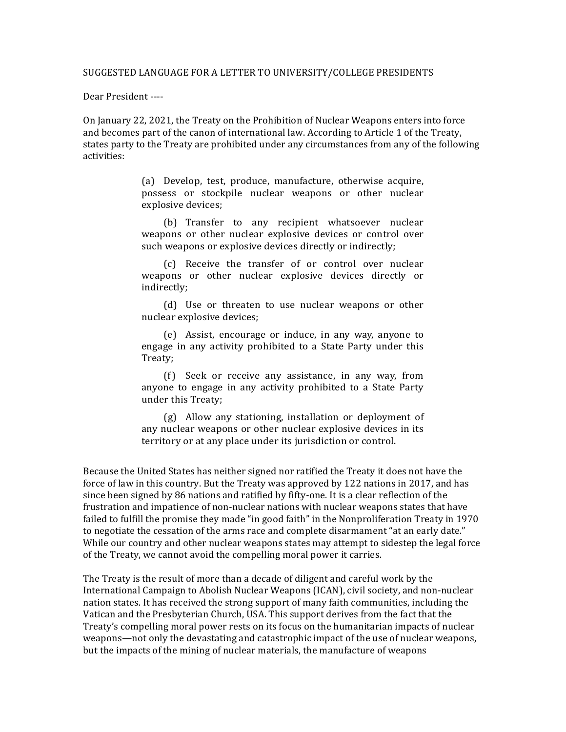Dear President ----

On January 22, 2021, the Treaty on the Prohibition of Nuclear Weapons enters into force and becomes part of the canon of international law. According to Article 1 of the Treaty, states party to the Treaty are prohibited under any circumstances from any of the following activities:

> (a) Develop, test, produce, manufacture, otherwise acquire, possess or stockpile nuclear weapons or other nuclear explosive devices:

> (b) Transfer to any recipient whatsoever nuclear weapons or other nuclear explosive devices or control over such weapons or explosive devices directly or indirectly;

> (c) Receive the transfer of or control over nuclear weapons or other nuclear explosive devices directly or indirectly;

> (d) Use or threaten to use nuclear weapons or other nuclear explosive devices;

> (e) Assist, encourage or induce, in any way, anyone to engage in any activity prohibited to a State Party under this Treaty;

> (f) Seek or receive any assistance, in any way, from anyone to engage in any activity prohibited to a State Party under this Treaty;

> (g) Allow any stationing, installation or deployment of any nuclear weapons or other nuclear explosive devices in its territory or at any place under its jurisdiction or control.

Because the United States has neither signed nor ratified the Treaty it does not have the force of law in this country. But the Treaty was approved by 122 nations in 2017, and has since been signed by 86 nations and ratified by fifty-one. It is a clear reflection of the frustration and impatience of non-nuclear nations with nuclear weapons states that have failed to fulfill the promise they made "in good faith" in the Nonproliferation Treaty in 1970 to negotiate the cessation of the arms race and complete disarmament "at an early date." While our country and other nuclear weapons states may attempt to sidestep the legal force of the Treaty, we cannot avoid the compelling moral power it carries.

The Treaty is the result of more than a decade of diligent and careful work by the International Campaign to Abolish Nuclear Weapons (ICAN), civil society, and non-nuclear nation states. It has received the strong support of many faith communities, including the Vatican and the Presbyterian Church, USA. This support derives from the fact that the Treaty's compelling moral power rests on its focus on the humanitarian impacts of nuclear weapons—not only the devastating and catastrophic impact of the use of nuclear weapons, but the impacts of the mining of nuclear materials, the manufacture of weapons